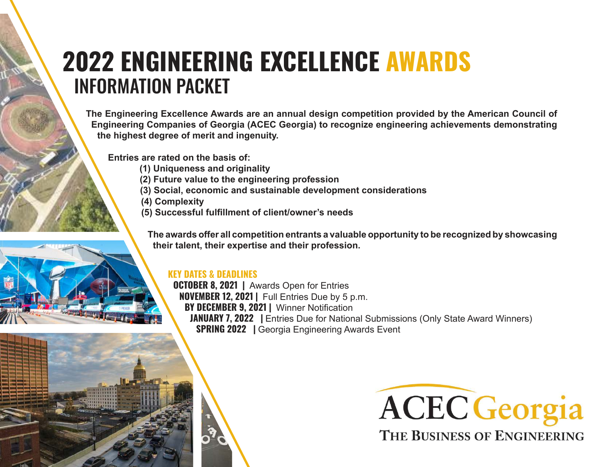# **2022 ENGINEERING EXCELLENCE AWARDS** INFORMATION PACKET

**The Engineering Excellence Awards are an annual design competition provided by the American Council of Engineering Companies of Georgia (ACEC Georgia) to recognize engineering achievements demonstrating the highest degree of merit and ingenuity.** 

**Entries are rated on the basis of:**

- **(1) Uniqueness and originality**
- **(2) Future value to the engineering profession**
- **(3) Social, economic and sustainable development considerations**
- **(4) Complexity**
- **(5) Successful fulfillment of client/owner's needs**

**The awards offer all competition entrants a valuable opportunity to be recognized by showcasing their talent, their expertise and their profession.**

# **KEY DATES & DEADLINES**

**OCTOBER 8, 2021 |** Awards Open for Entries **NOVEMBER 12, 2021 |** Full Entries Due by 5 p.m. **BY DECEMBER 9, 2021 |** Winner Notification **JANUARY 7, 2022** | Entries Due for National Submissions (Only State Award Winners) **SPRING 2022 |** Georgia Engineering Awards Event

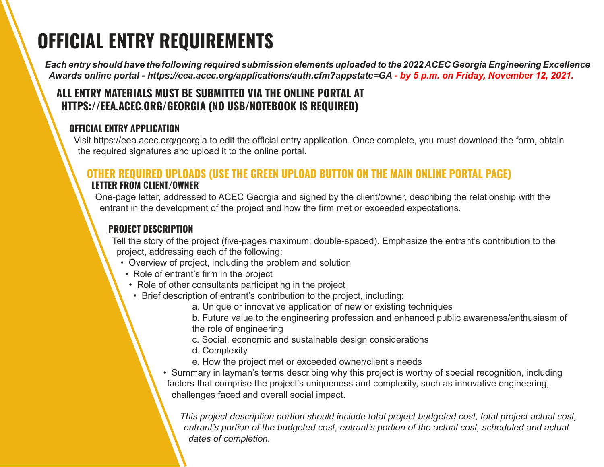# **OFFICIAL ENTRY REQUIREMENTS**

*Each entry should have the following required submission elements uploaded to the 2022 ACEC Georgia Engineering Excellence Awards online portal - https://eea.acec.org/applications/auth.cfm?appstate=GA - by 5 p.m. on Friday, November 12, 2021.*

# **ALL ENTRY MATERIALS MUST BE SUBMITTED VIA THE ONLINE PORTAL AT HTTPS://EEA.ACEC.ORG/GEORGIA (NO USB/NOTEBOOK IS REQUIRED)**

#### **OFFICIAL ENTRY APPLICATION**

Visit https://eea.acec.org/georgia to edit the official entry application. Once complete, you must download the form, obtain the required signatures and upload it to the online portal.

# **OTHER REQUIRED UPLOADS (USE THE GREEN UPLOAD BUTTON ON THE MAIN ONLINE PORTAL PAGE) LETTER FROM CLIENT/OWNER**

One-page letter, addressed to ACEC Georgia and signed by the client/owner, describing the relationship with the entrant in the development of the project and how the firm met or exceeded expectations.

# **PROJECT DESCRIPTION**

Tell the story of the project (five-pages maximum; double-spaced). Emphasize the entrant's contribution to the project, addressing each of the following:

- Overview of project, including the problem and solution
- Role of entrant's firm in the project
- Role of other consultants participating in the project
- Brief description of entrant's contribution to the project, including:
	- a. Unique or innovative application of new or existing techniques

 b. Future value to the engineering profession and enhanced public awareness/enthusiasm of the role of engineering

- c. Social, economic and sustainable design considerations
- d. Complexity
- e. How the project met or exceeded owner/client's needs
- Summary in layman's terms describing why this project is worthy of special recognition, including factors that comprise the project's uniqueness and complexity, such as innovative engineering, challenges faced and overall social impact.

*This project description portion should include total project budgeted cost, total project actual cost, entrant's portion of the budgeted cost, entrant's portion of the actual cost, scheduled and actual dates of completion.*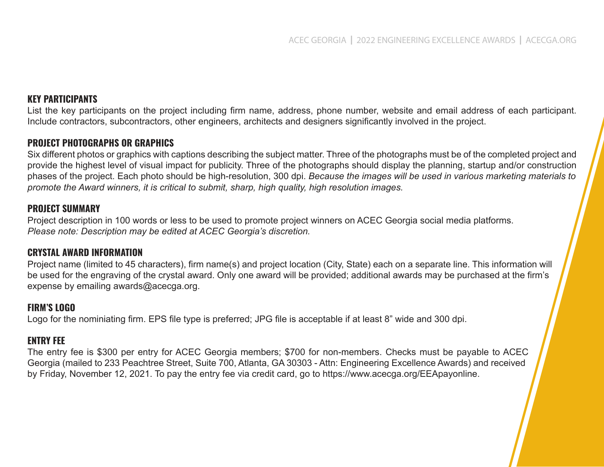#### **KEY PARTICIPANTS**

List the key participants on the project including firm name, address, phone number, website and email address of each participant. Include contractors, subcontractors, other engineers, architects and designers significantly involved in the project.

#### **PROJECT PHOTOGRAPHS OR GRAPHICS**

Six different photos or graphics with captions describing the subject matter. Three of the photographs must be of the completed project and provide the highest level of visual impact for publicity. Three of the photographs should display the planning, startup and/or construction phases of the project. Each photo should be high-resolution, 300 dpi. *Because the images will be used in various marketing materials to promote the Award winners, it is critical to submit, sharp, high quality, high resolution images.*

#### **PROJECT SUMMARY**

Project description in 100 words or less to be used to promote project winners on ACEC Georgia social media platforms. *Please note: Description may be edited at ACEC Georgia's discretion.*

#### **CRYSTAL AWARD INFORMATION**

Project name (limited to 45 characters), firm name(s) and project location (City, State) each on a separate line. This information will be used for the engraving of the crystal award. Only one award will be provided; additional awards may be purchased at the firm's expense by emailing awards@acecga.org.

#### **FIRM'S LOGO**

Logo for the nominiating firm. EPS file type is preferred; JPG file is acceptable if at least 8" wide and 300 dpi.

#### **ENTRY FEE**

The entry fee is \$300 per entry for ACEC Georgia members; \$700 for non-members. Checks must be payable to ACEC Georgia (mailed to 233 Peachtree Street, Suite 700, Atlanta, GA 30303 - Attn: Engineering Excellence Awards) and received by Friday, November 12, 2021. To pay the entry fee via credit card, go to https://www.acecga.org/EEApayonline.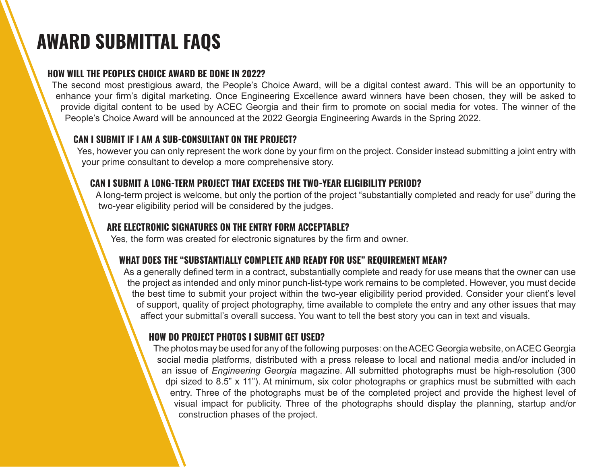# **AWARD SUBMITTAL FAQS**

### **HOW WILL THE PEOPLES CHOICE AWARD BE DONE IN 2022?**

The second most prestigious award, the People's Choice Award, will be a digital contest award. This will be an opportunity to enhance your firm's digital marketing. Once Engineering Excellence award winners have been chosen, they will be asked to provide digital content to be used by ACEC Georgia and their firm to promote on social media for votes. The winner of the People's Choice Award will be announced at the 2022 Georgia Engineering Awards in the Spring 2022.

#### **CAN I SUBMIT IF I AM A SUB-CONSULTANT ON THE PROJECT?**

Yes, however you can only represent the work done by your firm on the project. Consider instead submitting a joint entry with your prime consultant to develop a more comprehensive story.

#### **CAN I SUBMIT A LONG-TERM PROJECT THAT EXCEEDS THE TWO-YEAR ELIGIBILITY PERIOD?**

 A long-term project is welcome, but only the portion of the project "substantially completed and ready for use" during the two-year eligibility period will be considered by the judges.

### **ARE ELECTRONIC SIGNATURES ON THE ENTRY FORM ACCEPTABLE?**

Yes, the form was created for electronic signatures by the firm and owner.

# **WHAT DOES THE "SUBSTANTIALLY COMPLETE AND READY FOR USE" REQUIREMENT MEAN?**

As a generally defined term in a contract, substantially complete and ready for use means that the owner can use the project as intended and only minor punch-list-type work remains to be completed. However, you must decide the best time to submit your project within the two-year eligibility period provided. Consider your client's level of support, quality of project photography, time available to complete the entry and any other issues that may affect your submittal's overall success. You want to tell the best story you can in text and visuals.

# **HOW DO PROJECT PHOTOS I SUBMIT GET USED?**

The photos may be used for any of the following purposes: on the ACEC Georgia website, on ACEC Georgia social media platforms, distributed with a press release to local and national media and/or included in an issue of *Engineering Georgia* magazine. All submitted photographs must be high-resolution (300 dpi sized to 8.5" x 11"). At minimum, six color photographs or graphics must be submitted with each entry. Three of the photographs must be of the completed project and provide the highest level of visual impact for publicity. Three of the photographs should display the planning, startup and/or construction phases of the project.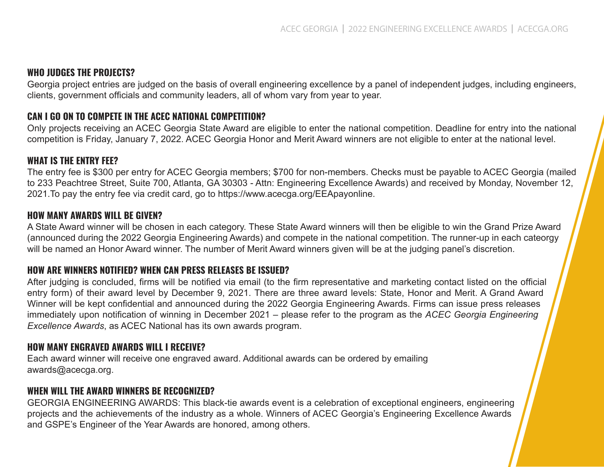#### **WHO JUDGES THE PROJECTS?**

Georgia project entries are judged on the basis of overall engineering excellence by a panel of independent judges, including engineers, clients, government officials and community leaders, all of whom vary from year to year.

#### **CAN I GO ON TO COMPETE IN THE ACEC NATIONAL COMPETITION?**

Only projects receiving an ACEC Georgia State Award are eligible to enter the national competition. Deadline for entry into the national competition is Friday, January 7, 2022. ACEC Georgia Honor and Merit Award winners are not eligible to enter at the national level.

#### **WHAT IS THE ENTRY FEE?**

The entry fee is \$300 per entry for ACEC Georgia members; \$700 for non-members. Checks must be payable to ACEC Georgia (mailed to 233 Peachtree Street, Suite 700, Atlanta, GA 30303 - Attn: Engineering Excellence Awards) and received by Monday, November 12, 2021.To pay the entry fee via credit card, go to https://www.acecga.org/EEApayonline.

#### **HOW MANY AWARDS WILL BE GIVEN?**

A State Award winner will be chosen in each category. These State Award winners will then be eligible to win the Grand Prize Award (announced during the 2022 Georgia Engineering Awards) and compete in the national competition. The runner-up in each cateorgy will be named an Honor Award winner. The number of Merit Award winners given will be at the judging panel's discretion.

#### **HOW ARE WINNERS NOTIFIED? WHEN CAN PRESS RELEASES BE ISSUED?**

After judging is concluded, firms will be notified via email (to the firm representative and marketing contact listed on the official entry form) of their award level by December 9, 2021. There are three award levels: State, Honor and Merit. A Grand Award Winner will be kept confidential and announced during the 2022 Georgia Engineering Awards. Firms can issue press releases immediately upon notification of winning in December 2021 – please refer to the program as the *ACEC Georgia Engineering Excellence Awards*, as ACEC National has its own awards program.

#### **HOW MANY ENGRAVED AWARDS WILL I RECEIVE?**

Each award winner will receive one engraved award. Additional awards can be ordered by emailing awards@acecga.org.

#### **WHEN WILL THE AWARD WINNERS BE RECOGNIZED?**

GEORGIA ENGINEERING AWARDS: This black-tie awards event is a celebration of exceptional engineers, engineering projects and the achievements of the industry as a whole. Winners of ACEC Georgia's Engineering Excellence Awards and GSPE's Engineer of the Year Awards are honored, among others.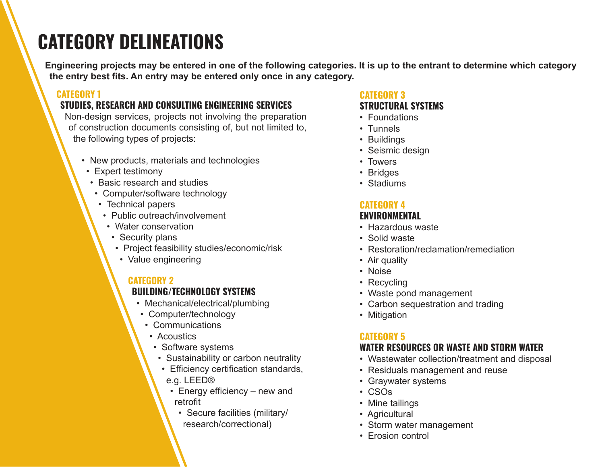# **CATEGORY DELINEATIONS**

**Engineering projects may be entered in one of the following categories. It is up to the entrant to determine which category the entry best fits. An entry may be entered only once in any category.**

#### **CATEGORY 1**

# **STUDIES, RESEARCH AND CONSULTING ENGINEERING SERVICES**

Non-design services, projects not involving the preparation of construction documents consisting of, but not limited to, the following types of projects:

- New products, materials and technologies
- Expert testimony
- Basic research and studies
- Computer/software technology
- Technical papers
- Public outreach/involvement
- Water conservation
- Security plans
- Project feasibility studies/economic/risk
- Value engineering

# **CATEGORY 2**

#### **BUILDING/TECHNOLOGY SYSTEMS**

- Mechanical/electrical/plumbing
- Computer/technology
- Communications
- Acoustics
- Software systems
- Sustainability or carbon neutrality
- Efficiency certification standards,
- e.g. LEED®
- Energy efficiency new and retrofit
	- Secure facilities (military/ research/correctional)

### **CATEGORY 3 STRUCTURAL SYSTEMS**

- Foundations
- Tunnels
- Buildings
- Seismic design
- Towers
- Bridges
- Stadiums

# **CATEGORY 4**

### **ENVIRONMENTAL**

- Hazardous waste
- Solid waste
- Restoration/reclamation/remediation
- Air quality
- Noise
- Recycling
- Waste pond management
- Carbon sequestration and trading
- Mitigation

# **CATEGORY 5**

# **WATER RESOURCES OR WASTE AND STORM WATER**

- Wastewater collection/treatment and disposal
- Residuals management and reuse
- Graywater systems
- CSOs
- Mine tailings
- Agricultural
- Storm water management
- Erosion control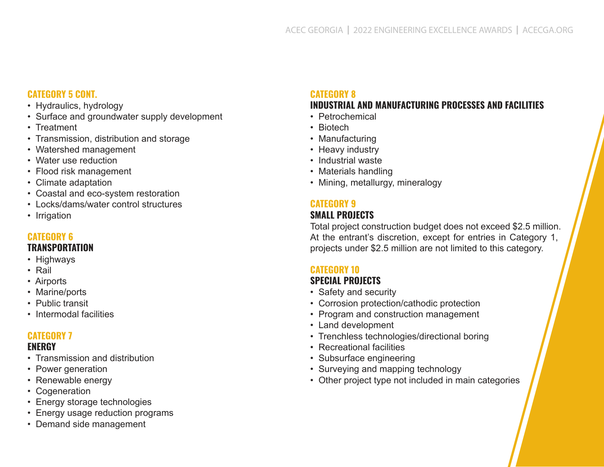#### **CATEGORY 5 CONT.**

- Hydraulics, hydrology
- Surface and groundwater supply development
- Treatment
- Transmission, distribution and storage
- Watershed management
- Water use reduction
- Flood risk management
- Climate adaptation
- Coastal and eco-system restoration
- Locks/dams/water control structures
- Irrigation

#### **CATEGORY 6 TRANSPORTATION**

- Highways
- Rail
- Airports
- Marine/ports
- Public transit
- Intermodal facilities

#### **CATEGORY 7**

#### **ENERGY**

- Transmission and distribution
- Power generation
- Renewable energy
- Cogeneration
- Energy storage technologies
- Energy usage reduction programs
- Demand side management

# **CATEGORY 8**

#### **INDUSTRIAL AND MANUFACTURING PROCESSES AND FACILITIES**

- Petrochemical
- Biotech
- Manufacturing
- Heavy industry
- Industrial waste
- Materials handling
- Mining, metallurgy, mineralogy

# **CATEGORY 9**

#### **SMALL PROJECTS**

Total project construction budget does not exceed \$2.5 million. At the entrant's discretion, except for entries in Category 1, projects under \$2.5 million are not limited to this category.

# **CATEGORY 10**

#### **SPECIAL PROJECTS**

- Safety and security
- Corrosion protection/cathodic protection
- Program and construction management
- Land development
- Trenchless technologies/directional boring
- Recreational facilities
- Subsurface engineering
- Surveying and mapping technology
- Other project type not included in main categories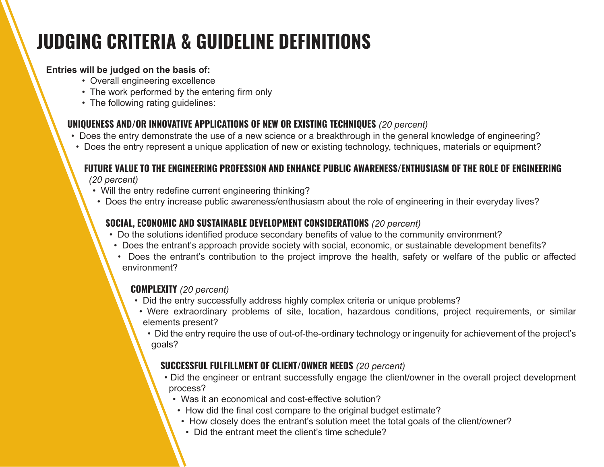# **JUDGING CRITERIA & GUIDELINE DEFINITIONS**

### **Entries will be judged on the basis of:**

- Overall engineering excellence
- The work performed by the entering firm only
- The following rating guidelines:

# **UNIQUENESS AND/OR INNOVATIVE APPLICATIONS OF NEW OR EXISTING TECHNIQUES** *(20 percent)*

- Does the entry demonstrate the use of a new science or a breakthrough in the general knowledge of engineering?
- Does the entry represent a unique application of new or existing technology, techniques, materials or equipment?

# **FUTURE VALUE TO THE ENGINEERING PROFESSION AND ENHANCE PUBLIC AWARENESS/ENTHUSIASM OF THE ROLE OF ENGINEERING**

*(20 percent)*

- Will the entry redefine current engineering thinking?
- Does the entry increase public awareness/enthusiasm about the role of engineering in their everyday lives?

# **SOCIAL, ECONOMIC AND SUSTAINABLE DEVELOPMENT CONSIDERATIONS** *(20 percent)*

- Do the solutions identified produce secondary benefits of value to the community environment?
- Does the entrant's approach provide society with social, economic, or sustainable development benefits?
- Does the entrant's contribution to the project improve the health, safety or welfare of the public or affected environment?

# **COMPLEXITY** *(20 percent)*

- Did the entry successfully address highly complex criteria or unique problems?
- Were extraordinary problems of site, location, hazardous conditions, project requirements, or similar elements present?
	- Did the entry require the use of out-of-the-ordinary technology or ingenuity for achievement of the project's goals?

# **SUCCESSFUL FULFILLMENT OF CLIENT/OWNER NEEDS** *(20 percent)*

- Did the engineer or entrant successfully engage the client/owner in the overall project development process?
	- Was it an economical and cost-effective solution?
	- How did the final cost compare to the original budget estimate?
	- How closely does the entrant's solution meet the total goals of the client/owner?
	- Did the entrant meet the client's time schedule?